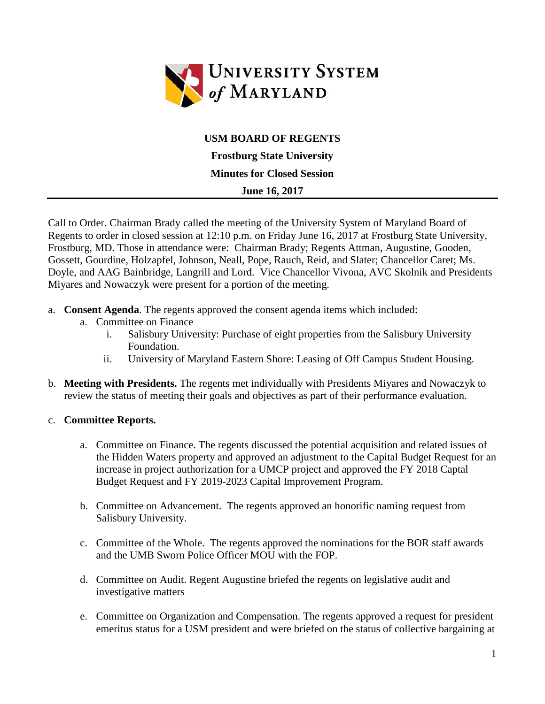

## **USM BOARD OF REGENTS**

**Frostburg State University Minutes for Closed Session**

## **June 16, 2017**

Call to Order. Chairman Brady called the meeting of the University System of Maryland Board of Regents to order in closed session at 12:10 p.m. on Friday June 16, 2017 at Frostburg State University, Frostburg, MD. Those in attendance were: Chairman Brady; Regents Attman, Augustine, Gooden, Gossett, Gourdine, Holzapfel, Johnson, Neall, Pope, Rauch, Reid, and Slater; Chancellor Caret; Ms. Doyle, and AAG Bainbridge, Langrill and Lord. Vice Chancellor Vivona, AVC Skolnik and Presidents Miyares and Nowaczyk were present for a portion of the meeting.

- a. **Consent Agenda**. The regents approved the consent agenda items which included:
	- a. Committee on Finance
		- i. Salisbury University: Purchase of eight properties from the Salisbury University Foundation.
		- ii. University of Maryland Eastern Shore: Leasing of Off Campus Student Housing.
- b. **Meeting with Presidents.** The regents met individually with Presidents Miyares and Nowaczyk to review the status of meeting their goals and objectives as part of their performance evaluation.

## c. **Committee Reports.**

- a. Committee on Finance. The regents discussed the potential acquisition and related issues of the Hidden Waters property and approved an adjustment to the Capital Budget Request for an increase in project authorization for a UMCP project and approved the FY 2018 Captal Budget Request and FY 2019-2023 Capital Improvement Program.
- b. Committee on Advancement. The regents approved an honorific naming request from Salisbury University.
- c. Committee of the Whole. The regents approved the nominations for the BOR staff awards and the UMB Sworn Police Officer MOU with the FOP.
- d. Committee on Audit. Regent Augustine briefed the regents on legislative audit and investigative matters
- e. Committee on Organization and Compensation. The regents approved a request for president emeritus status for a USM president and were briefed on the status of collective bargaining at